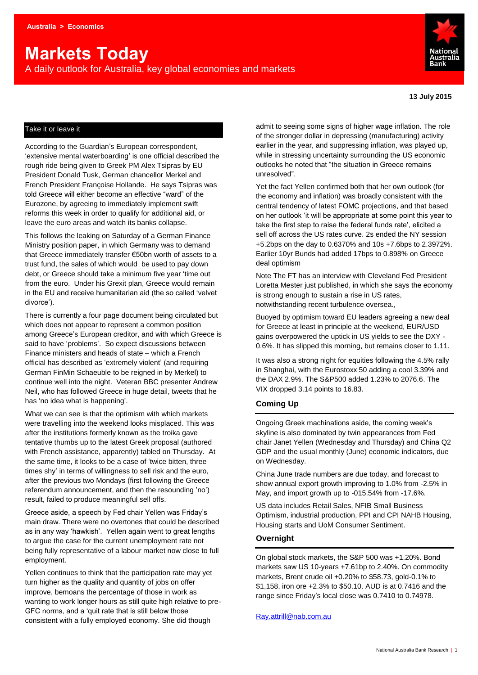# **Markets Today**

A daily outlook for Australia, key global economies and markets



**13 July 2015**

## Take it or leave it

According to the Guardian's European correspondent, 'extensive mental waterboarding' is one official described the rough ride being given to Greek PM Alex Tsipras by EU President Donald Tusk, German chancellor Merkel and French President Françoise Hollande. He says Tsipras was told Greece will either become an effective "ward" of the Eurozone, by agreeing to immediately implement swift reforms this week in order to qualify for additional aid, or leave the euro areas and watch its banks collapse.

This follows the leaking on Saturday of a German Finance Ministry position paper, in which Germany was to demand that Greece immediately transfer €50bn worth of assets to a trust fund, the sales of which would be used to pay down debt, or Greece should take a minimum five year 'time out from the euro. Under his Grexit plan, Greece would remain in the EU and receive humanitarian aid (the so called 'velvet divorce').

There is currently a four page document being circulated but which does not appear to represent a common position among Greece's European creditor, and with which Greece is said to have 'problems'. So expect discussions between Finance ministers and heads of state – which a French official has described as 'extremely violent' (and requiring German FinMin Schaeuble to be reigned in by Merkel) to continue well into the night. Veteran BBC presenter Andrew Neil, who has followed Greece in huge detail, tweets that he has 'no idea what is happening'.

What we can see is that the optimism with which markets were travelling into the weekend looks misplaced. This was after the institutions formerly known as the troika gave tentative thumbs up to the latest Greek proposal (authored with French assistance, apparently) tabled on Thursday. At the same time, it looks to be a case of 'twice bitten, three times shy' in terms of willingness to sell risk and the euro, after the previous two Mondays (first following the Greece referendum announcement, and then the resounding 'no') result, failed to produce meaningful sell offs.

Greece aside, a speech by Fed chair Yellen was Friday's main draw. There were no overtones that could be described as in any way 'hawkish'. Yellen again went to great lengths to argue the case for the current unemployment rate not being fully representative of a labour market now close to full employment.

Yellen continues to think that the participation rate may yet turn higher as the quality and quantity of jobs on offer improve, bemoans the percentage of those in work as wanting to work longer hours as still quite high relative to pre-GFC norms, and a 'quit rate that is still below those consistent with a fully employed economy. She did though

admit to seeing some signs of higher wage inflation. The role of the stronger dollar in depressing (manufacturing) activity earlier in the year, and suppressing inflation, was played up, while in stressing uncertainty surrounding the US economic outlooks he noted that "the situation in Greece remains unresolved".

Yet the fact Yellen confirmed both that her own outlook (for the economy and inflation) was broadly consistent with the central tendency of latest FOMC projections, and that based on her outlook 'it will be appropriate at some point this year to take the first step to raise the federal funds rate', elicited a sell off across the US rates curve. 2s ended the NY session +5.2bps on the day to 0.6370% and 10s +7.6bps to 2.3972%. Earlier 10yr Bunds had added 17bps to 0.898% on Greece deal optimism

Note The FT has an interview with Cleveland Fed President Loretta Mester just published, in which she says the economy is strong enough to sustain a rise in US rates, notwithstanding recent turbulence oversea.,

Buoyed by optimism toward EU leaders agreeing a new deal for Greece at least in principle at the weekend, EUR/USD gains overpowered the uptick in US yields to see the DXY - 0.6%. It has slipped this morning, but remains closer to 1.11.

It was also a strong night for equities following the 4.5% rally in Shanghai, with the Eurostoxx 50 adding a cool 3.39% and the DAX 2.9%. The S&P500 added 1.23% to 2076.6. The VIX dropped 3.14 points to 16.83.

# **Coming Up**

Ongoing Greek machinations aside, the coming week's skyline is also dominated by twin appearances from Fed chair Janet Yellen (Wednesday and Thursday) and China Q2 GDP and the usual monthly (June) economic indicators, due on Wednesday.

China June trade numbers are due today, and forecast to show annual export growth improving to 1.0% from -2.5% in May, and import growth up to -015.54% from -17.6%.

US data includes Retail Sales, NFIB Small Business Optimism, industrial production, PPI and CPI NAHB Housing, Housing starts and UoM Consumer Sentiment.

# **Overnight**

On global stock markets, the S&P 500 was +1.20%. Bond markets saw US 10-years +7.61bp to 2.40%. On commodity markets, Brent crude oil +0.20% to \$58.73, gold-0.1% to \$1,158, iron ore +2.3% to \$50.10. AUD is at 0.7416 and the range since Friday's local close was 0.7410 to 0.74978.

[Ray.attrill@nab.com.au](mailto:Ray.attrill@nab.com.au)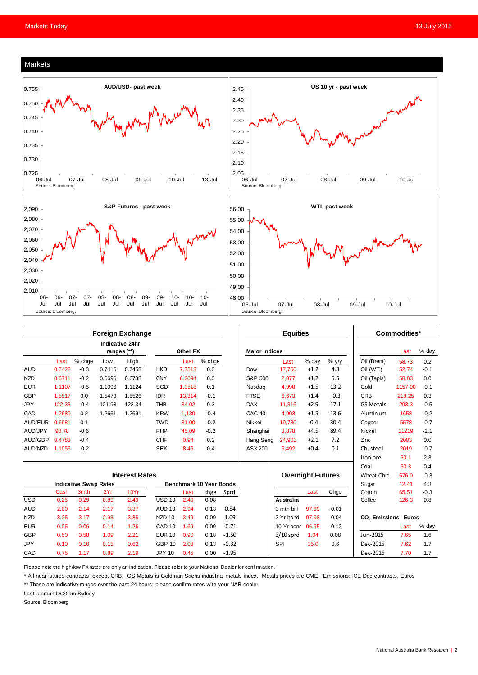#### Markets







|            | <b>Foreign Exchange</b>        |                              |        |          |                                |        |          |                      | <b>Equities</b>   |                          |        |         | Commodities*                      |         |        |
|------------|--------------------------------|------------------------------|--------|----------|--------------------------------|--------|----------|----------------------|-------------------|--------------------------|--------|---------|-----------------------------------|---------|--------|
|            | Indicative 24hr<br>ranges (**) |                              |        | Other FX |                                |        |          | <b>Major Indices</b> |                   |                          |        |         | Last                              | % day   |        |
|            | Last                           | % chge                       | Low    | High     |                                | Last   | $%$ chge |                      |                   | Last                     | % day  | $%$ y/y | Oil (Brent)                       | 58.73   | 0.2    |
| <b>AUD</b> | 0.7422                         | $-0.3$                       | 0.7416 | 0.7458   | <b>HKD</b>                     | 7.7513 | 0.0      |                      | Dow               | 17.760                   | $+1.2$ | 4.8     | Oil (WTI)                         | 52.74   | $-0.1$ |
| <b>NZD</b> | 0.6711                         | $-0.2$                       | 0.6696 | 0.6738   | <b>CNY</b>                     | 6.2094 | 0.0      |                      | S&P 500           | 2.077                    | $+1.2$ | 5.5     | Oil (Tapis)                       | 58.83   | 0.0    |
| <b>EUR</b> | 1.1107                         | $-0.5$                       | 1.1096 | 1.1124   | SGD                            | 1.3518 | 0.1      |                      | Nasdag            | 4,998                    | $+1.5$ | 13.2    | Gold                              | 1157.90 | $-0.1$ |
| GBP        | 1.5517                         | 0.0                          | 1.5473 | 1.5526   | <b>IDR</b>                     | 13,314 | $-0.1$   |                      | <b>FTSE</b>       | 6,673                    | $+1.4$ | $-0.3$  | <b>CRB</b>                        | 218.25  | 0.3    |
| JPY        | 122.33                         | $-0.4$                       | 121.93 | 122.34   | <b>THB</b>                     | 34.02  | 0.3      |                      | <b>DAX</b>        | 11.316                   | $+2.9$ | 17.1    | <b>GS Metals</b>                  | 293.3   | $-0.5$ |
| CAD        | 1.2689                         | 0.2                          | 1.2661 | 1.2691   | <b>KRW</b>                     | 1.130  | $-0.4$   |                      | CAC <sub>40</sub> | 4.903                    | $+1.5$ | 13.6    | Aluminium                         | 1658    | $-0.2$ |
| AUD/EUR    | 0.6681                         | 0.1                          |        |          | <b>TWD</b>                     | 31.00  | $-0.2$   |                      | Nikkei            | 19.780                   | $-0.4$ | 30.4    | Copper                            | 5578    | $-0.7$ |
| AUD/JPY    | 90.78                          | $-0.6$                       |        |          | PHP                            | 45.09  | $-0.2$   |                      | Shanghai          | 3,878                    | $+4.5$ | 89.4    | Nickel                            | 11219   | $-2.1$ |
| AUD/GBP    | 0.4783                         | $-0.4$                       |        |          | <b>CHF</b>                     | 0.94   | 0.2      |                      | Hang Seng         | 24.901                   | $+2.1$ | 7.2     | Zinc                              | 2003    | 0.0    |
| AUD/NZD    | 1.1056                         | $-0.2$                       |        |          | <b>SEK</b>                     | 8.46   | 0.4      |                      | ASX 200           | 5,492                    | $+0.4$ | 0.1     | Ch. steel                         | 2019    | $-0.7$ |
|            |                                |                              |        |          |                                |        |          |                      |                   |                          |        |         | Iron ore                          | 50.1    | 2.3    |
|            |                                |                              |        |          |                                |        |          |                      |                   |                          |        |         | Coal                              | 60.3    | 0.4    |
|            | <b>Interest Rates</b>          |                              |        |          |                                |        |          |                      |                   | <b>Overnight Futures</b> |        |         | Wheat Chic.                       | 576.0   | $-0.3$ |
|            |                                | <b>Indicative Swap Rates</b> |        |          | <b>Benchmark 10 Year Bonds</b> |        |          |                      |                   |                          |        | Sugar   | 12.41                             | 4.3     |        |
|            | Cash                           | 3 <sub>mth</sub>             | 2Yr    | 10Yr     |                                | Last   | chge     | Sprd                 |                   |                          | Last   | Chge    | Cotton                            | 65.51   | $-0.3$ |
| <b>USD</b> | 0.25                           | 0.29                         | 0.89   | 2.49     | $USD$ 10                       | 2.40   | 0.08     |                      |                   | Australia                |        |         | Coffee                            | 126.3   | 0.8    |
| <b>AUD</b> | 2.00                           | 2.14                         | 2.17   | 3.37     | <b>AUD 10</b>                  | 2.94   | 0.13     | 0.54                 |                   | 3 mth bill               | 97.89  | $-0.01$ |                                   |         |        |
| <b>NZD</b> | 3.25                           | 3.17                         | 2.98   | 3.85     | NZD <sub>10</sub>              | 3.49   | 0.09     | 1.09                 |                   | 97.98<br>3 Yr bond       |        | $-0.04$ | CO <sub>2</sub> Emissions - Euros |         |        |
| <b>EUR</b> | 0.05                           | 0.06                         | 0.14   | 1.26     | CAD <sub>10</sub>              | 1.69   | 0.09     | $-0.71$              |                   | 10 Yr bond               | 96.95  | $-0.12$ |                                   | Last    | % day  |
| <b>GBP</b> | 0.50                           | 0.58                         | 1.09   | 2.21     | <b>EUR 10</b>                  | 0.90   | 0.18     | $-1.50$              |                   | $3/10$ sprd              | 1.04   | 0.08    | Jun-2015                          | 7.65    | 1.6    |
| <b>JPY</b> | 0.10                           | 0.10                         | 0.15   | 0.62     | <b>GBP 10</b>                  | 2.08   | 0.13     | $-0.32$              |                   | SPI                      | 35.0   | 0.6     | Dec-2015                          | 7.62    | 1.7    |
| CAD        | 0.75                           | 1.17                         | 0.89   | 2.19     | <b>JPY 10</b>                  | 0.45   | 0.00     | $-1.95$              |                   |                          |        |         | Dec-2016                          | 7.70    | 1.7    |

Please note the high/low FX rates are only an indication. Please refer to your National Dealer for confirmation.

\* All near futures contracts, except CRB. GS Metals is Goldman Sachs industrial metals index. Metals prices are CME. Emissions: ICE Dec contracts, Euros

\*\* These are indicative ranges over the past 24 hours; please confirm rates with your NAB dealer

Last is around 6:30am Sydney

Source: Bloomberg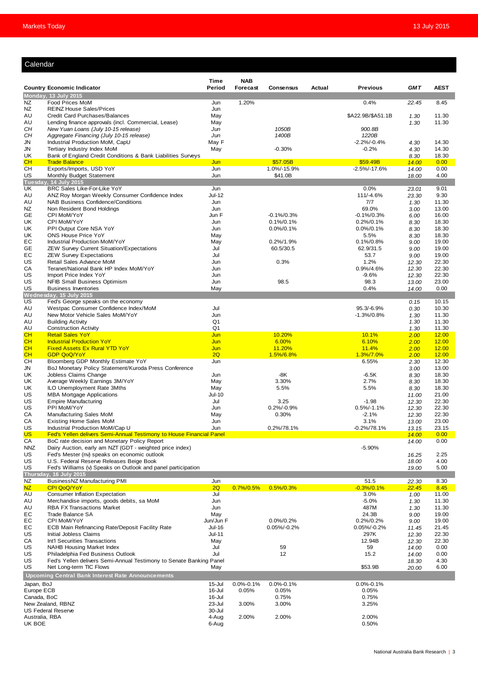## Calendar

|                |                                                                                                          | Time                       | <b>NAB</b>      |                                  |        |                              |                       |                       |
|----------------|----------------------------------------------------------------------------------------------------------|----------------------------|-----------------|----------------------------------|--------|------------------------------|-----------------------|-----------------------|
|                | <b>Country Economic Indicator</b>                                                                        | Period                     | Forecast        | <b>Consensus</b>                 | Actual | <b>Previous</b>              | <b>GMT</b>            | <b>AEST</b>           |
|                | Monday, 13 July 2015                                                                                     |                            |                 |                                  |        |                              |                       |                       |
| NZ<br>NZ       | Food Prices MoM<br><b>REINZ House Sales/Prices</b>                                                       | Jun<br>Jun                 | 1.20%           |                                  |        | 0.4%                         | 22.45                 | 8.45                  |
| AU             | Credit Card Purchases/Balances                                                                           | May                        |                 |                                  |        | \$A22.9B/\$A51.1B            | 1.30                  | 11.30                 |
| AU             | Lending finance approvals (incl. Commercial, Lease)                                                      | May                        |                 |                                  |        |                              | 1.30                  | 11.30                 |
| CН             | New Yuan Loans (July 10-15 release)                                                                      | Jun                        |                 | 1050B                            |        | 900.8B                       |                       |                       |
| CН<br>JN       | Aggregate Financing (July 10-15 release)<br>Industrial Production MoM, CapU                              | Jun<br>May F               |                 | 1400B                            |        | 1220B<br>$-2.2\%/0.4\%$      | 4.30                  | 14.30                 |
| JN             | Tertiary Industry Index MoM                                                                              | May                        |                 | $-0.30%$                         |        | $-0.2%$                      | 4.30                  | 14.30                 |
| UK             | Bank of England Credit Conditions & Bank Liabilities Surveys                                             |                            |                 |                                  |        |                              | 8.30                  | 18.30                 |
| CH             | <b>Trade Balance</b>                                                                                     | Jun                        |                 | \$57.05B                         |        | \$59.49B                     | 14.00                 | 0.00                  |
| CН<br>US       | Exports/Imports, USD YoY<br>Monthly Budget Statement                                                     | Jun<br>Jun                 |                 | 1.0%/-15.9%<br>\$41.0B           |        | $-2.5\%/ -17.6\%$            | 14.00<br>18.00        | 0.00<br>4.00          |
|                | Tuesday, 14 July 2015                                                                                    |                            |                 |                                  |        |                              |                       |                       |
| UK             | BRC Sales Like-For-Like YoY                                                                              | Jun                        |                 |                                  |        | 0.0%                         | 23.01                 | 9.01                  |
| AU<br>AU       | ANZ Roy Morgan Weekly Consumer Confidence Index<br><b>NAB Business Confidence/Conditions</b>             | <b>Jul-12</b><br>Jun       |                 |                                  |        | 111/-4.6%<br>7/7             | 23.30<br>1.30         | 9.30<br>11.30         |
| NZ             | Non Resident Bond Holdings                                                                               | Jun                        |                 |                                  |        | 69.0%                        | 3.00                  | 13.00                 |
| GE             | CPI MoM/YoY                                                                                              | Jun F                      |                 | $-0.1\%/0.3\%$                   |        | $-0.1\%/0.3\%$               | 6.00                  | 16.00                 |
| UK             | CPI MoM/YoY                                                                                              | Jun                        |                 | $0.1\%/0.1\%$                    |        | $0.2\%/0.1\%$                | 8.30                  | 18.30                 |
| UK<br>UK       | PPI Output Core NSA YoY<br><b>ONS House Price YoY</b>                                                    | Jun<br>May                 |                 | $0.0\%/0.1\%$                    |        | $0.0\%/0.1\%$<br>5.5%        | 8.30                  | 18.30<br>18.30        |
| EС             | Industrial Production MoM/YoY                                                                            | May                        |                 | 0.2%/1.9%                        |        | 0.1%/0.8%                    | 8.30<br>9.00          | 19.00                 |
| GE             | ZEW Survey Current Situation/Expectations                                                                | Jul                        |                 | 60.5/30.5                        |        | 62.9/31.5                    | 9.00                  | 19.00                 |
| EС             | <b>ZEW Survey Expectations</b>                                                                           | Jul                        |                 |                                  |        | 53.7                         | 9.00                  | 19.00                 |
| US             | Retail Sales Advance MoM                                                                                 | Jun                        |                 | 0.3%                             |        | 1.2%<br>0.9%/4.6%            | 12.30                 | 22.30<br>22.30        |
| СA<br>US       | Teranet/National Bank HP Index MoM/YoY<br>Import Price Index YoY                                         | Jun<br>Jun                 |                 |                                  |        | $-9.6%$                      | 12.30<br>12.30        | 22.30                 |
| US             | NFIB Small Business Optimism                                                                             | Jun                        |                 | 98.5                             |        | 98.3                         | 13.00                 | 23.00                 |
| US             | <b>Business Inventories</b>                                                                              | May                        |                 |                                  |        | 0.4%                         | 14.00                 | 0.00                  |
| US             | Wednesday, 15 July 2015<br>Fed's George speaks on the economy                                            |                            |                 |                                  |        |                              |                       | 10.15                 |
| AU             | Westpac Consumer Confidence Index/MoM                                                                    | Jul                        |                 |                                  |        | 95.3/-6.9%                   | 0.15<br>0.30          | 10.30                 |
| AU             | New Motor Vehicle Sales MoM/YoY                                                                          | Jun                        |                 |                                  |        | $-1.3\%/0.8\%$               | 1.30                  | 11.30                 |
| AU             | <b>Building Activity</b>                                                                                 | Q1                         |                 |                                  |        |                              | 1.30                  | 11.30                 |
| AU<br>CH       | <b>Construction Activity</b><br><b>Retail Sales YoY</b>                                                  | Q <sub>1</sub><br>Jun      |                 | 10.20%                           |        | 10.1%                        | 1.30<br>2.00          | 11.30<br><b>12.00</b> |
| CH             | <b>Industrial Production YoY</b>                                                                         | Jun                        |                 | 6.00%                            |        | 6.10%                        | 2.00                  | 12.00                 |
| CH             | <b>Fixed Assets Ex Rural YTD YoY</b>                                                                     | Jun                        |                 | 11.20%                           |        | 11.4%                        | 2.00                  | <b>12.00</b>          |
| CH             | <b>GDP QoQ/YoY</b>                                                                                       | 2Q                         |                 | 1.5%/6.8%                        |        | 1.3%/7.0%                    | 2.00                  | 12.00                 |
| CН<br>JN       | Bloomberg GDP Monthly Estimate YoY<br>BoJ Monetary Policy Statement/Kuroda Press Conference              | Jun                        |                 |                                  |        | 6.55%                        | 2.30<br>3.00          | 12.30<br>13.00        |
| UK             | Jobless Claims Change                                                                                    | Jun                        |                 | -8K                              |        | $-6.5K$                      | 8.30                  | 18.30                 |
| UK             | Average Weekly Earnings 3M/YoY                                                                           | May                        |                 | 3.30%                            |        | 2.7%                         | 8.30                  | 18.30                 |
| UK             | ILO Unemployment Rate 3Mths                                                                              | May                        |                 | 5.5%                             |        | 5.5%                         | 8.30                  | 18.30                 |
| US<br>US       | <b>MBA Mortgage Applications</b><br><b>Empire Manufacturing</b>                                          | <b>Jul-10</b><br>Jul       |                 | 3.25                             |        | $-1.98$                      | 11.00<br>12.30        | 21.00<br>22.30        |
| US             | PPI MoM/YoY                                                                                              | Jun                        |                 | $0.2\%/0.9\%$                    |        | $0.5\%/ -1.1\%$              | 12.30                 | 22.30                 |
| СA             | Manufacturing Sales MoM                                                                                  | May                        |                 | 0.30%                            |        | $-2.1%$                      | 12.30                 | 22.30                 |
| CА<br>US       | <b>Existing Home Sales MoM</b>                                                                           | Jun                        |                 | 0.2%/78.1%                       |        | 3.1%                         | 13.00                 | 23.00                 |
| <b>US</b>      | Industrial Production MoM/Cap U<br>Fed's Yellen delivers Semi-Annual Testimony to House Financial Panel  | Jun                        |                 |                                  |        | -0.2%/78.1%                  | <u>13.15</u><br>14.00 | 23.15<br>0.00         |
| CA             | BoC rate decision and Monetary Policy Report                                                             |                            |                 |                                  |        |                              | 14.00                 | 0.00                  |
| <b>NNZ</b>     | Dairy Auction, early am NZT (GDT - weighted price index)                                                 |                            |                 |                                  |        | $-5.90%$                     |                       |                       |
| US<br>US       | Fed's Mester (nv) speaks on economic outlook<br>U.S. Federal Reserve Releases Beige Book                 |                            |                 |                                  |        |                              | 16.25<br>18.00        | 2.25<br>4.00          |
| US             | Fed's Williams (v) Speaks on Outlook and panel participation                                             |                            |                 |                                  |        |                              | 19.00                 | 5.00                  |
|                | Thursday, 16 July 2015                                                                                   |                            |                 |                                  |        |                              |                       |                       |
| NZ             | BusinessNZ Manufacturing PMI                                                                             | Jun                        |                 |                                  |        | 51.5                         | 22.30                 | 8.30                  |
| NZ<br>AU       | CPI QoQ/YoY<br><b>Consumer Inflation Expectation</b>                                                     | 2Q<br>Jul                  | $0.7\%/0.5\%$   | $0.5\%/0.3\%$                    |        | $-0.3% / 0.1%$<br>3.0%       | 22.45<br>1.00         | 8.45<br>11.00         |
| AU             | Merchandise imports, goods debits, sa MoM                                                                | Jun                        |                 |                                  |        | $-5.0%$                      | 1.30                  | 11.30                 |
| AU             | <b>RBA FX Transactions Market</b>                                                                        | Jun                        |                 |                                  |        | 487M                         | 1.30                  | 11.30                 |
| EС             | Trade Balance SA                                                                                         | May                        |                 |                                  |        | 24.3B                        | 9.00                  | 19.00                 |
| EC<br>EС       | CPI MoM/YoY<br>ECB Main Refinancing Rate/Deposit Facility Rate                                           | Jun/Jun F<br><b>Jul-16</b> |                 | $0.0\%/0.2\%$<br>$0.05\%/-0.2\%$ |        | $0.2\%/0.2\%$<br>0.05%/-0.2% | 9.00<br>11.45         | 19.00<br>21.45        |
| US             | Initial Jobless Claims                                                                                   | Jul-11                     |                 |                                  |        | 297K                         | 12.30                 | 22.30                 |
| СA             | Int'l Securities Transactions                                                                            | May                        |                 |                                  |        | 12.94B                       | 12.30                 | 22.30                 |
| US             | <b>NAHB Housing Market Index</b>                                                                         | Jul                        |                 | 59                               |        | 59                           | 14.00                 | 0.00                  |
| US<br>US       | Philadelphia Fed Business Outlook<br>Fed's Yellen delivers Semi-Annual Testimony to Senate Banking Panel | Jul                        |                 | 12                               |        | 15.2                         | 14.00                 | 0.00<br>4.30          |
| US             | Net Long-term TIC Flows                                                                                  | May                        |                 |                                  |        | \$53.9B                      | 18.30<br>20.00        | 6.00                  |
|                | <b>Upcoming Central Bank Interest Rate Announcements</b>                                                 |                            |                 |                                  |        |                              |                       |                       |
| Japan, BoJ     |                                                                                                          | 15-Jul                     | $0.0\% - 0.1\%$ | $0.0\% - 0.1\%$                  |        | $0.0\% - 0.1\%$              |                       |                       |
| Europe ECB     |                                                                                                          | 16-Jul                     | 0.05%           | 0.05%                            |        | 0.05%                        |                       |                       |
| Canada, BoC    |                                                                                                          | 16-Jul                     |                 | 0.75%                            |        | 0.75%                        |                       |                       |
|                | New Zealand, RBNZ<br><b>US Federal Reserve</b>                                                           | 23-Jul<br>30-Jul           | 3.00%           | 3.00%                            |        | 3.25%                        |                       |                       |
| Australia, RBA |                                                                                                          | 4-Aug                      | 2.00%           | 2.00%                            |        | 2.00%                        |                       |                       |
| UK BOE         |                                                                                                          | 6-Aug                      |                 |                                  |        | 0.50%                        |                       |                       |